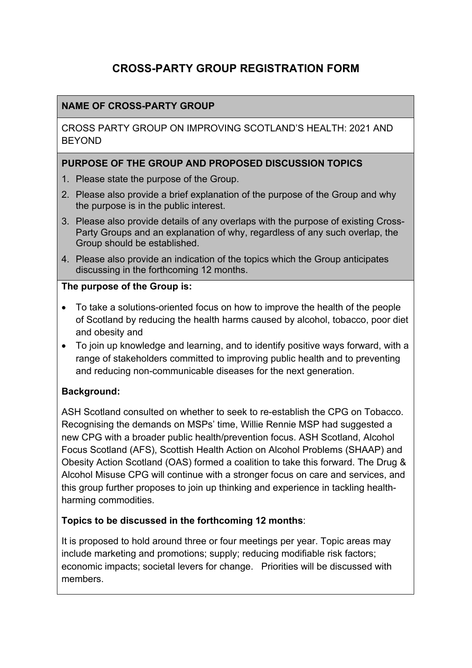# **CROSS-PARTY GROUP REGISTRATION FORM**

# **NAME OF CROSS-PARTY GROUP**

CROSS PARTY GROUP ON IMPROVING SCOTLAND'S HEALTH: 2021 AND **BEYOND** 

### **PURPOSE OF THE GROUP AND PROPOSED DISCUSSION TOPICS**

- 1. Please state the purpose of the Group.
- 2. Please also provide a brief explanation of the purpose of the Group and why the purpose is in the public interest.
- 3. Please also provide details of any overlaps with the purpose of existing Cross-Party Groups and an explanation of why, regardless of any such overlap, the Group should be established.
- 4. Please also provide an indication of the topics which the Group anticipates discussing in the forthcoming 12 months.

#### **The purpose of the Group is:**

- To take a solutions-oriented focus on how to improve the health of the people of Scotland by reducing the health harms caused by alcohol, tobacco, poor diet and obesity and
- To join up knowledge and learning, and to identify positive ways forward, with a range of stakeholders committed to improving public health and to preventing and reducing non-communicable diseases for the next generation.

# **Background:**

ASH Scotland consulted on whether to seek to re-establish the CPG on Tobacco. Recognising the demands on MSPs' time, Willie Rennie MSP had suggested a new CPG with a broader public health/prevention focus. ASH Scotland, Alcohol Focus Scotland (AFS), Scottish Health Action on Alcohol Problems (SHAAP) and Obesity Action Scotland (OAS) formed a coalition to take this forward. The Drug & Alcohol Misuse CPG will continue with a stronger focus on care and services, and this group further proposes to join up thinking and experience in tackling healthharming commodities.

#### **Topics to be discussed in the forthcoming 12 months**:

It is proposed to hold around three or four meetings per year. Topic areas may include marketing and promotions; supply; reducing modifiable risk factors; economic impacts; societal levers for change. Priorities will be discussed with members.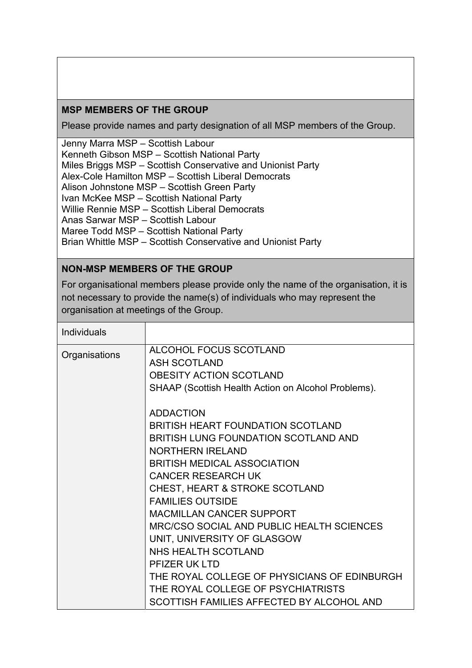## **MSP MEMBERS OF THE GROUP**

Please provide names and party designation of all MSP members of the Group.

Jenny Marra MSP – Scottish Labour Kenneth Gibson MSP – Scottish National Party Miles Briggs MSP – Scottish Conservative and Unionist Party Alex-Cole Hamilton MSP – Scottish Liberal Democrats Alison Johnstone MSP – Scottish Green Party Ivan McKee MSP – Scottish National Party Willie Rennie MSP – Scottish Liberal Democrats Anas Sarwar MSP – Scottish Labour Maree Todd MSP – Scottish National Party Brian Whittle MSP – Scottish Conservative and Unionist Party

#### **NON-MSP MEMBERS OF THE GROUP**

For organisational members please provide only the name of the organisation, it is not necessary to provide the name(s) of individuals who may represent the organisation at meetings of the Group.

| <b>Individuals</b> |                                                     |
|--------------------|-----------------------------------------------------|
| Organisations      | ALCOHOL FOCUS SCOTLAND                              |
|                    | <b>ASH SCOTLAND</b>                                 |
|                    | <b>OBESITY ACTION SCOTLAND</b>                      |
|                    | SHAAP (Scottish Health Action on Alcohol Problems). |
|                    | <b>ADDACTION</b>                                    |
|                    | BRITISH HEART FOUNDATION SCOTLAND                   |
|                    | BRITISH LUNG FOUNDATION SCOTLAND AND                |
|                    | <b>NORTHERN IRELAND</b>                             |
|                    | <b>BRITISH MEDICAL ASSOCIATION</b>                  |
|                    | <b>CANCER RESEARCH UK</b>                           |
|                    | <b>CHEST, HEART &amp; STROKE SCOTLAND</b>           |
|                    | <b>FAMILIES OUTSIDE</b>                             |
|                    | <b>MACMILLAN CANCER SUPPORT</b>                     |
|                    | <b>MRC/CSO SOCIAL AND PUBLIC HEALTH SCIENCES</b>    |
|                    | UNIT, UNIVERSITY OF GLASGOW                         |
|                    | NHS HEALTH SCOTLAND                                 |
|                    | PFIZER UK LTD                                       |
|                    | THE ROYAL COLLEGE OF PHYSICIANS OF EDINBURGH        |
|                    | THE ROYAL COLLEGE OF PSYCHIATRISTS                  |
|                    | SCOTTISH FAMILIES AFFECTED BY ALCOHOL AND           |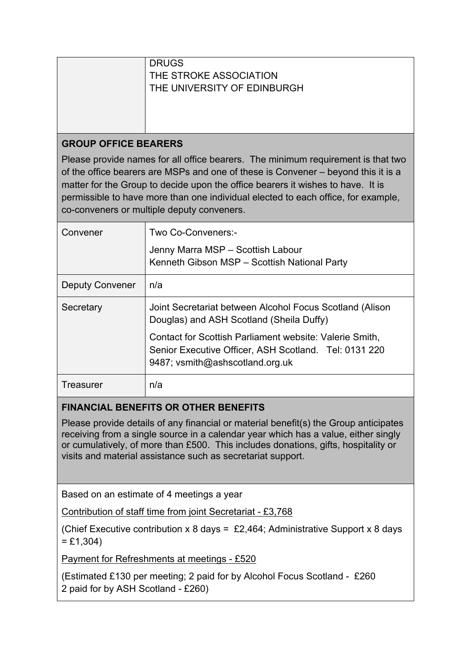|                                                                                                                                                                                                                                                                                                                                                                                             | <b>DRUGS</b><br>THE STROKE ASSOCIATION<br>THE UNIVERSITY OF EDINBURGH                                                                               |  |
|---------------------------------------------------------------------------------------------------------------------------------------------------------------------------------------------------------------------------------------------------------------------------------------------------------------------------------------------------------------------------------------------|-----------------------------------------------------------------------------------------------------------------------------------------------------|--|
| <b>GROUP OFFICE BEARERS</b>                                                                                                                                                                                                                                                                                                                                                                 |                                                                                                                                                     |  |
| Please provide names for all office bearers. The minimum requirement is that two<br>of the office bearers are MSPs and one of these is Convener – beyond this it is a<br>matter for the Group to decide upon the office bearers it wishes to have. It is<br>permissible to have more than one individual elected to each office, for example,<br>co-conveners or multiple deputy conveners. |                                                                                                                                                     |  |
| Convener                                                                                                                                                                                                                                                                                                                                                                                    | Two Co-Conveners:-                                                                                                                                  |  |
|                                                                                                                                                                                                                                                                                                                                                                                             | Jenny Marra MSP - Scottish Labour<br>Kenneth Gibson MSP - Scottish National Party                                                                   |  |
| <b>Deputy Convener</b>                                                                                                                                                                                                                                                                                                                                                                      | n/a                                                                                                                                                 |  |
| Secretary                                                                                                                                                                                                                                                                                                                                                                                   | Joint Secretariat between Alcohol Focus Scotland (Alison<br>Douglas) and ASH Scotland (Sheila Duffy)                                                |  |
|                                                                                                                                                                                                                                                                                                                                                                                             | Contact for Scottish Parliament website: Valerie Smith,<br>Senior Executive Officer, ASH Scotland. Tel: 0131 220<br>9487; vsmith@ashscotland.org.uk |  |
| <b>Treasurer</b>                                                                                                                                                                                                                                                                                                                                                                            | n/a                                                                                                                                                 |  |
| EINANCIAI DENEEITS OD OTUED BENEEITS                                                                                                                                                                                                                                                                                                                                                        |                                                                                                                                                     |  |

# **FINANCIAL BENEFITS OR OTHER BENEFITS**

Please provide details of any financial or material benefit(s) the Group anticipates receiving from a single source in a calendar year which has a value, either singly or cumulatively, of more than £500. This includes donations, gifts, hospitality or visits and material assistance such as secretariat support.

Based on an estimate of 4 meetings a year

Contribution of staff time from joint Secretariat - £3,768

(Chief Executive contribution x 8 days = £2,464; Administrative Support x 8 days  $=$  £1,304)

Payment for Refreshments at meetings - £520

(Estimated £130 per meeting; 2 paid for by Alcohol Focus Scotland - £260 2 paid for by ASH Scotland - £260)